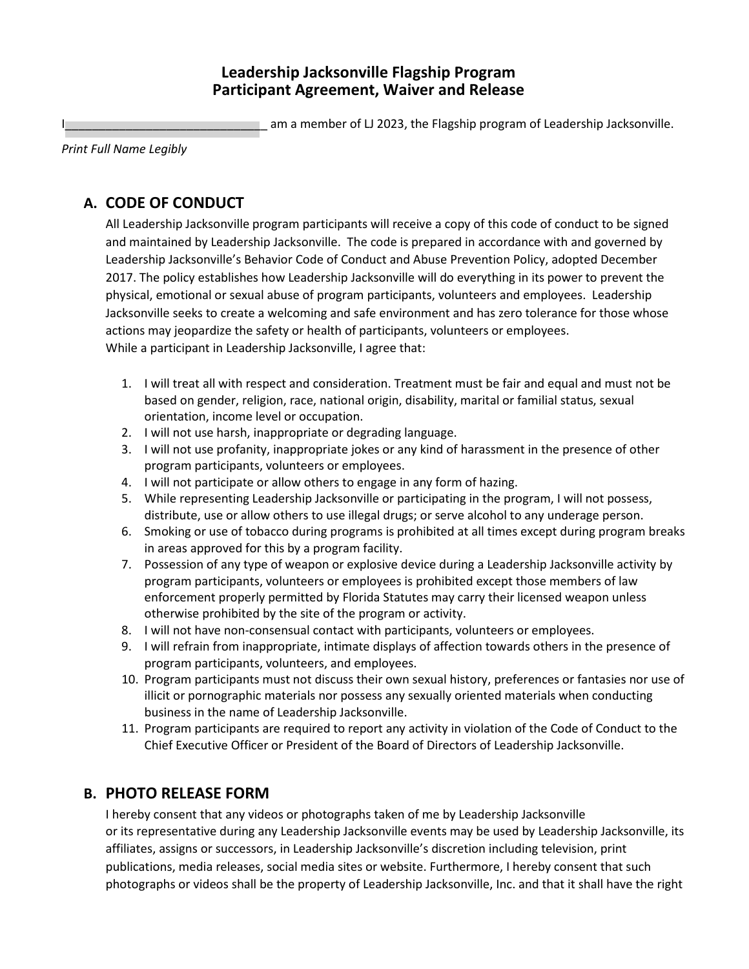### **Leadership Jacksonville Flagship Program Participant Agreement, Waiver and Release**

am a member of LJ 2023, the Flagship program of Leadership Jacksonville.

*Print Full Name Legibly*

# **A. CODE OF CONDUCT**

All Leadership Jacksonville program participants will receive a copy of this code of conduct to be signed and maintained by Leadership Jacksonville. The code is prepared in accordance with and governed by Leadership Jacksonville's Behavior Code of Conduct and Abuse Prevention Policy, adopted December 2017. The policy establishes how Leadership Jacksonville will do everything in its power to prevent the physical, emotional or sexual abuse of program participants, volunteers and employees. Leadership Jacksonville seeks to create a welcoming and safe environment and has zero tolerance for those whose actions may jeopardize the safety or health of participants, volunteers or employees. While a participant in Leadership Jacksonville, I agree that:

- 1. I will treat all with respect and consideration. Treatment must be fair and equal and must not be based on gender, religion, race, national origin, disability, marital or familial status, sexual orientation, income level or occupation.
- 2. I will not use harsh, inappropriate or degrading language.
- 3. I will not use profanity, inappropriate jokes or any kind of harassment in the presence of other program participants, volunteers or employees.
- 4. I will not participate or allow others to engage in any form of hazing.
- 5. While representing Leadership Jacksonville or participating in the program, I will not possess, distribute, use or allow others to use illegal drugs; or serve alcohol to any underage person.
- 6. Smoking or use of tobacco during programs is prohibited at all times except during program breaks in areas approved for this by a program facility.
- 7. Possession of any type of weapon or explosive device during a Leadership Jacksonville activity by program participants, volunteers or employees is prohibited except those members of law enforcement properly permitted by Florida Statutes may carry their licensed weapon unless otherwise prohibited by the site of the program or activity.
- 8. I will not have non-consensual contact with participants, volunteers or employees.
- 9. I will refrain from inappropriate, intimate displays of affection towards others in the presence of program participants, volunteers, and employees.
- 10. Program participants must not discuss their own sexual history, preferences or fantasies nor use of illicit or pornographic materials nor possess any sexually oriented materials when conducting business in the name of Leadership Jacksonville.
- 11. Program participants are required to report any activity in violation of the Code of Conduct to the Chief Executive Officer or President of the Board of Directors of Leadership Jacksonville.

### **B. PHOTO RELEASE FORM**

I hereby consent that any videos or photographs taken of me by Leadership Jacksonville or its representative during any Leadership Jacksonville events may be used by Leadership Jacksonville, its affiliates, assigns or successors, in Leadership Jacksonville's discretion including television, print publications, media releases, social media sites or website. Furthermore, I hereby consent that such photographs or videos shall be the property of Leadership Jacksonville, Inc. and that it shall have the right